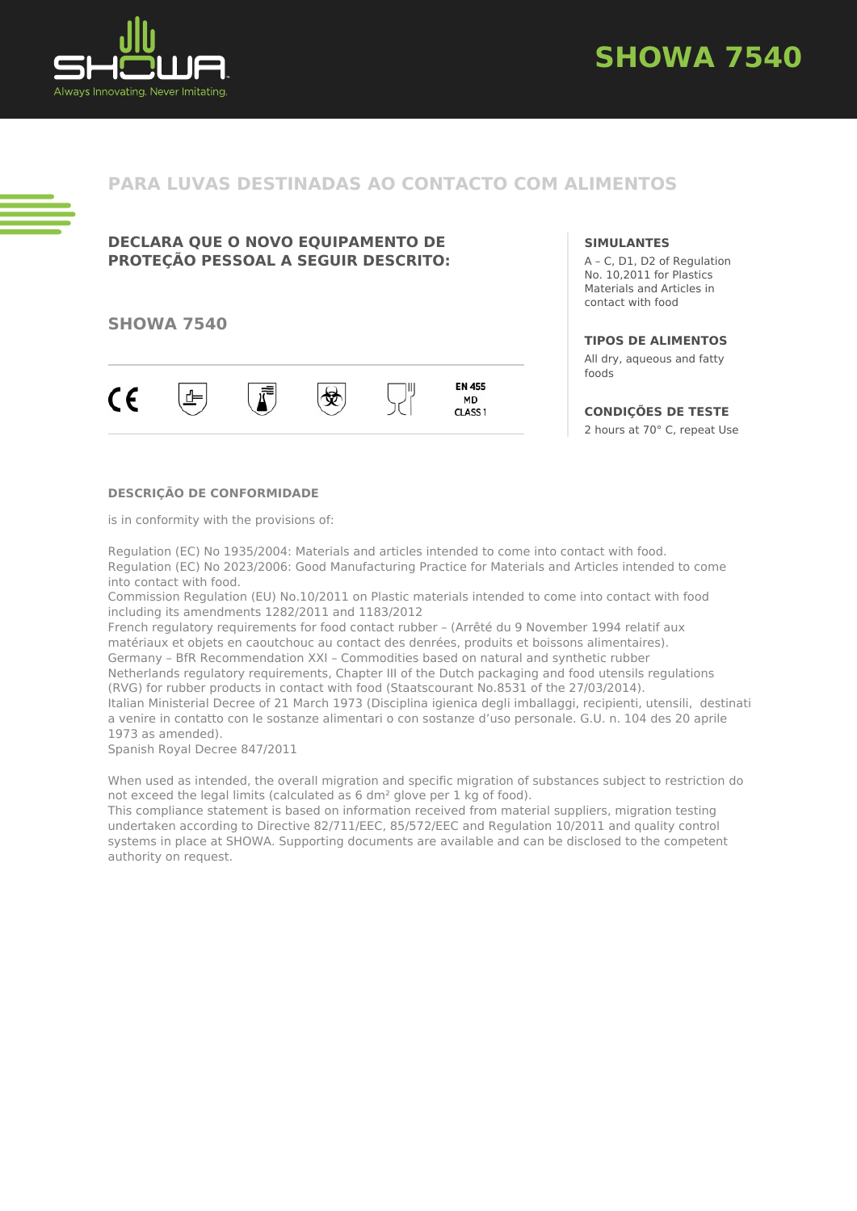

# **PARA LUVAS DESTINADAS AO CONTACTO COM ALIMENTOS**

# **DECLARA QUE O NOVO EQUIPAMENTO DE PROTEÇÃO PESSOAL A SEGUIR DESCRITO:**

## **SHOWA 7540**



### **SIMULANTES**

A – C, D1, D2 of Regulation No. 10,2011 for Plastics Materials and Articles in contact with food

### **TIPOS DE ALIMENTOS**

All dry, aqueous and fatty foods

#### **CONDIÇÕES DE TESTE**

2 hours at 70° C, repeat Use

#### **DESCRIÇÃO DE CONFORMIDADE**

is in conformity with the provisions of:

Regulation (EC) No 1935/2004: Materials and articles intended to come into contact with food. Regulation (EC) No 2023/2006: Good Manufacturing Practice for Materials and Articles intended to come into contact with food.

Commission Regulation (EU) No.10/2011 on Plastic materials intended to come into contact with food including its amendments 1282/2011 and 1183/2012

French regulatory requirements for food contact rubber – (Arrêté du 9 November 1994 relatif aux matériaux et objets en caoutchouc au contact des denrées, produits et boissons alimentaires). Germany – BfR Recommendation XXI – Commodities based on natural and synthetic rubber Netherlands regulatory requirements, Chapter III of the Dutch packaging and food utensils regulations (RVG) for rubber products in contact with food (Staatscourant No.8531 of the 27/03/2014).

Italian Ministerial Decree of 21 March 1973 (Disciplina igienica degli imballaggi, recipienti, utensili, destinati a venire in contatto con le sostanze alimentari o con sostanze d'uso personale. G.U. n. 104 des 20 aprile 1973 as amended).

Spanish Royal Decree 847/2011

When used as intended, the overall migration and specific migration of substances subject to restriction do not exceed the legal limits (calculated as 6 dm² glove per 1 kg of food).

This compliance statement is based on information received from material suppliers, migration testing undertaken according to Directive 82/711/EEC, 85/572/EEC and Regulation 10/2011 and quality control systems in place at SHOWA. Supporting documents are available and can be disclosed to the competent authority on request.